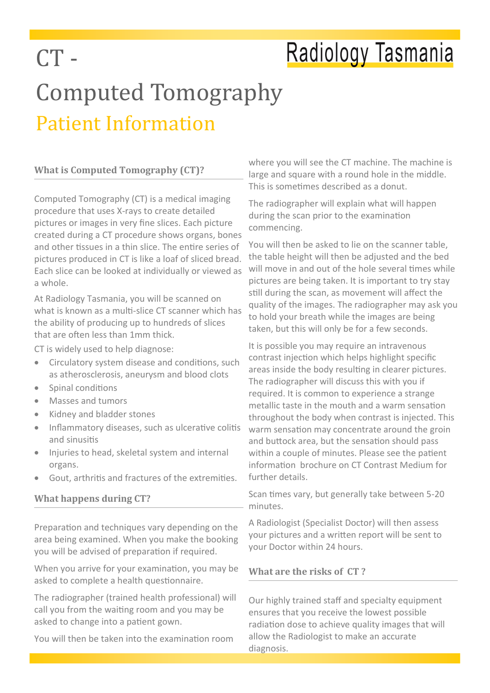## Radiology Tasmania

## Computed Tomography Patient Information

#### **What is Computed Tomography (CT)?**

 $CT -$ 

Computed Tomography (CT) is a medical imaging procedure that uses X-rays to create detailed pictures or images in very fine slices. Each picture created during a CT procedure shows organs, bones and other tissues in a thin slice. The entire series of pictures produced in CT is like a loaf of sliced bread. Each slice can be looked at individually or viewed as a whole.

At Radiology Tasmania, you will be scanned on what is known as a multi-slice CT scanner which has the ability of producing up to hundreds of slices that are often less than 1mm thick.

CT is widely used to help diagnose:

- Circulatory system disease and conditions, such as atherosclerosis, aneurysm and blood clots
- Spinal conditions
- Masses and tumors
- Kidney and bladder stones
- Inflammatory diseases, such as ulcerative colitis and sinusitis
- Injuries to head, skeletal system and internal organs.
- Gout, arthritis and fractures of the extremities.

#### **What happens during CT?**

Preparation and techniques vary depending on the area being examined. When you make the booking you will be advised of preparation if required.

When you arrive for your examination, you may be asked to complete a health questionnaire.

The radiographer (trained health professional) will call you from the waiting room and you may be asked to change into a patient gown.

You will then be taken into the examination room

where you will see the CT machine. The machine is large and square with a round hole in the middle. This is sometimes described as a donut.

The radiographer will explain what will happen during the scan prior to the examination commencing.

You will then be asked to lie on the scanner table, the table height will then be adjusted and the bed will move in and out of the hole several times while pictures are being taken. It is important to try stay still during the scan, as movement will affect the quality of the images. The radiographer may ask you to hold your breath while the images are being taken, but this will only be for a few seconds.

It is possible you may require an intravenous contrast injection which helps highlight specific areas inside the body resulting in clearer pictures. The radiographer will discuss this with you if required. It is common to experience a strange metallic taste in the mouth and a warm sensation throughout the body when contrast is injected. This warm sensation may concentrate around the groin and buttock area, but the sensation should pass within a couple of minutes. Please see the patient information brochure on CT Contrast Medium for further details.

Scan times vary, but generally take between 5-20 minutes.

A Radiologist (Specialist Doctor) will then assess your pictures and a written report will be sent to your Doctor within 24 hours.

#### **What are the risks of CT ?**

Our highly trained staff and specialty equipment ensures that you receive the lowest possible radiation dose to achieve quality images that will allow the Radiologist to make an accurate diagnosis.